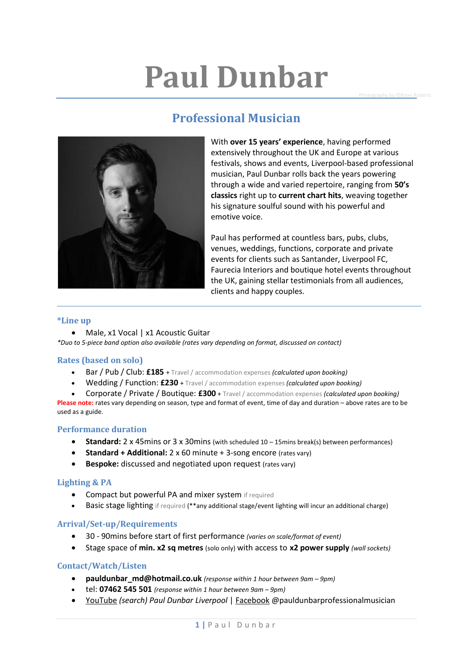## **Paul Dunbar**

**Photography by ©Brian Roberts** 





With **over 15 years' experience**, having performed extensively throughout the UK and Europe at various festivals, shows and events, Liverpool-based professional musician, Paul Dunbar rolls back the years powering through a wide and varied repertoire, ranging from **50's classics** right up to **current chart hits**, weaving together his signature soulful sound with his powerful and emotive voice.

Paul has performed at countless bars, pubs, clubs, venues, weddings, functions, corporate and private events for clients such as Santander, Liverpool FC, Faurecia Interiors and boutique hotel events throughout the UK, gaining stellar testimonials from all audiences, clients and happy couples.

#### **\*Line up**

• Male, x1 Vocal | x1 Acoustic Guitar *\*Duo to 5-piece band option also available (rates vary depending on format, discussed on contact)*

#### **Rates (based on solo)**

- Bar / Pub / Club: **£185** + Travel / accommodation expenses *(calculated upon booking)*
- Wedding / Function: **£230** + Travel / accommodation expenses *(calculated upon booking)*
- Corporate / Private / Boutique: **£300** + Travel / accommodation expenses *(calculated upon booking)*

**Please note:** rates vary depending on season, type and format of event, time of day and duration – above rates are to be used as a guide.

#### **Performance duration**

- **Standard:** 2 x 45mins or 3 x 30mins (with scheduled 10 15mins break(s) between performances)
- **Standard + Additional:** 2 x 60 minute + 3-song encore (rates vary)
- **Bespoke:** discussed and negotiated upon request (rates vary)

#### **Lighting & PA**

- Compact but powerful PA and mixer system if required
- Basic stage lighting if required (\*\*any additional stage/event lighting will incur an additional charge)

#### **Arrival/Set-up/Requirements**

- 30 90mins before start of first performance *(varies on scale/format of event)*
- Stage space of **min. x2 sq metres** (solo only) with access to **x2 power supply** *(wall sockets)*

#### **Contact/Watch/Listen**

- **pauldunbar\_md@hotmail.co.uk** *(response within 1 hour between 9am – 9pm)*
- tel: **07462 545 501** *(response within 1 hour between 9am – 9pm)*
- YouTube *(search) Paul Dunbar Liverpool* | Facebook @pauldunbarprofessionalmusician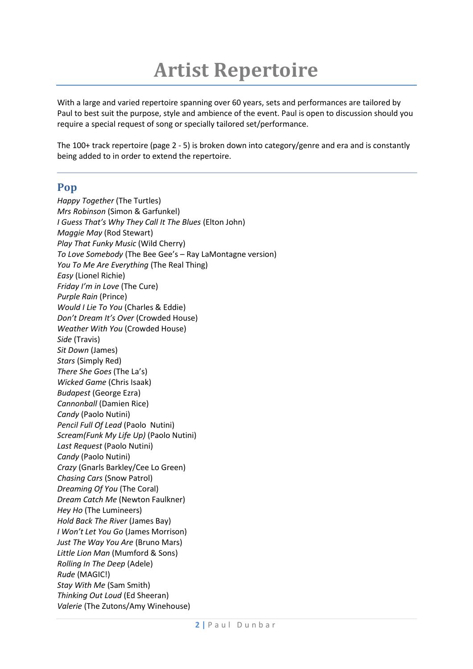### **Artist Repertoire**

With a large and varied repertoire spanning over 60 years, sets and performances are tailored by Paul to best suit the purpose, style and ambience of the event. Paul is open to discussion should you require a special request of song or specially tailored set/performance.

The 100+ track repertoire (page 2 - 5) is broken down into category/genre and era and is constantly being added to in order to extend the repertoire.

#### **Pop**

*Happy Together* (The Turtles) *Mrs Robinson* (Simon & Garfunkel) *I Guess That's Why They Call It The Blues* (Elton John) *Maggie May* (Rod Stewart) *Play That Funky Music* (Wild Cherry) *To Love Somebody* (The Bee Gee's – Ray LaMontagne version) *You To Me Are Everything* (The Real Thing) *Easy* (Lionel Richie) *Friday I'm in Love* (The Cure) *Purple Rain* (Prince) *Would I Lie To You* (Charles & Eddie) *Don't Dream It's Over* (Crowded House) *Weather With You* (Crowded House) *Side* (Travis) *Sit Down* (James) *Stars* (Simply Red) *There She Goes* (The La's) *Wicked Game* (Chris Isaak) *Budapest* (George Ezra) *Cannonball* (Damien Rice) *Candy* (Paolo Nutini) *Pencil Full Of Lead* (Paolo Nutini) *Scream(Funk My Life Up)* (Paolo Nutini) *Last Request* (Paolo Nutini) *Candy* (Paolo Nutini) *Crazy* (Gnarls Barkley/Cee Lo Green) *Chasing Cars* (Snow Patrol) *Dreaming Of You* (The Coral) *Dream Catch Me* (Newton Faulkner) *Hey Ho* (The Lumineers) *Hold Back The River* (James Bay) *I Won't Let You Go* (James Morrison) *Just The Way You Are* (Bruno Mars) *Little Lion Man* (Mumford & Sons) *Rolling In The Deep* (Adele) *Rude* (MAGIC!) *Stay With Me* (Sam Smith) *Thinking Out Loud* (Ed Sheeran) *Valerie* (The Zutons/Amy Winehouse)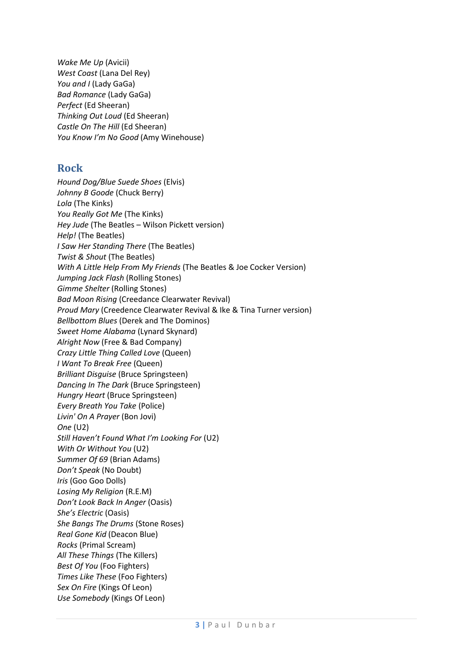*Wake Me Up* (Avicii) *West Coast* (Lana Del Rey) *You and I* (Lady GaGa) *Bad Romance* (Lady GaGa) *Perfect* (Ed Sheeran) *Thinking Out Loud* (Ed Sheeran) *Castle On The Hill* (Ed Sheeran) *You Know I'm No Good* (Amy Winehouse)

#### **Rock**

*Hound Dog/Blue Suede Shoes* (Elvis) *Johnny B Goode* (Chuck Berry) *Lola* (The Kinks) *You Really Got Me* (The Kinks) *Hey Jude* (The Beatles – Wilson Pickett version) *Help!* (The Beatles) *I Saw Her Standing There* (The Beatles) *Twist & Shout* (The Beatles) *With A Little Help From My Friends* (The Beatles & Joe Cocker Version) *Jumping Jack Flash* (Rolling Stones) *Gimme Shelter* (Rolling Stones) *Bad Moon Rising* (Creedance Clearwater Revival) *Proud Mary* (Creedence Clearwater Revival & Ike & Tina Turner version) *Bellbottom Blues* (Derek and The Dominos) *Sweet Home Alabama* (Lynard Skynard) *Alright Now* (Free & Bad Company) *Crazy Little Thing Called Love* (Queen) *I Want To Break Free* (Queen) *Brilliant Disguise* (Bruce Springsteen) *Dancing In The Dark* (Bruce Springsteen) *Hungry Heart* (Bruce Springsteen) *Every Breath You Take* (Police) *Livin' On A Prayer* (Bon Jovi) *One* (U2) *Still Haven't Found What I'm Looking For* (U2) *With Or Without You* (U2) *Summer Of 69* (Brian Adams) *Don't Speak* (No Doubt) *Iris* (Goo Goo Dolls) *Losing My Religion* (R.E.M) *Don't Look Back In Anger* (Oasis) *She's Electric* (Oasis) *She Bangs The Drums* (Stone Roses) *Real Gone Kid* (Deacon Blue) *Rocks* (Primal Scream) *All These Things* (The Killers) *Best Of You* (Foo Fighters) *Times Like These* (Foo Fighters) *Sex On Fire* (Kings Of Leon) *Use Somebody* (Kings Of Leon)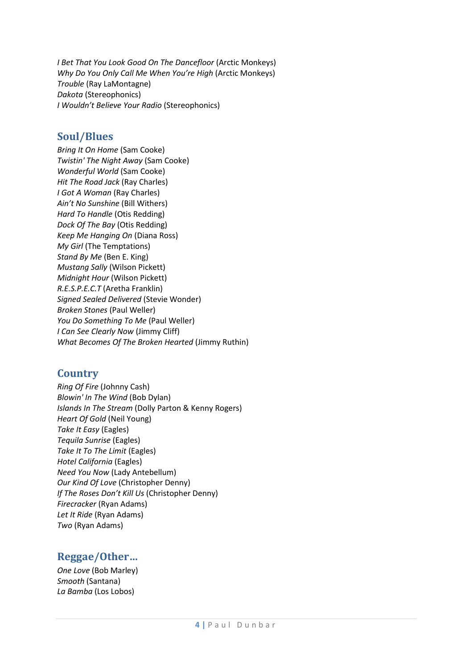*I Bet That You Look Good On The Dancefloor* (Arctic Monkeys) *Why Do You Only Call Me When You're High* (Arctic Monkeys) *Trouble* (Ray LaMontagne) *Dakota* (Stereophonics) *I Wouldn't Believe Your Radio* (Stereophonics)

#### **Soul/Blues**

*Bring It On Home* (Sam Cooke) *Twistin' The Night Away* (Sam Cooke) *Wonderful World* (Sam Cooke) *Hit The Road Jack* (Ray Charles) *I Got A Woman* (Ray Charles) *Ain't No Sunshine* (Bill Withers) *Hard To Handle* (Otis Redding) *Dock Of The Bay* (Otis Redding) *Keep Me Hanging On* (Diana Ross) *My Girl* (The Temptations) *Stand By Me* (Ben E. King) *Mustang Sally* (Wilson Pickett) *Midnight Hour* (Wilson Pickett) *R.E.S.P.E.C.T* (Aretha Franklin) *Signed Sealed Delivered* (Stevie Wonder) *Broken Stones* (Paul Weller) *You Do Something To Me* (Paul Weller) *I Can See Clearly Now* (Jimmy Cliff) *What Becomes Of The Broken Hearted* (Jimmy Ruthin)

#### **Country**

*Ring Of Fire* (Johnny Cash) *Blowin' In The Wind* (Bob Dylan) *Islands In The Stream* (Dolly Parton & Kenny Rogers) *Heart Of Gold* (Neil Young) *Take It Easy* (Eagles) *Tequila Sunrise* (Eagles) *Take It To The Limit* (Eagles) *Hotel California* (Eagles) *Need You Now* (Lady Antebellum) *Our Kind Of Love* (Christopher Denny) *If The Roses Don't Kill Us* (Christopher Denny) *Firecracker* (Ryan Adams) *Let It Ride* (Ryan Adams) *Two* (Ryan Adams)

#### **Reggae/Other…**

*One Love* (Bob Marley) *Smooth* (Santana) *La Bamba* (Los Lobos)